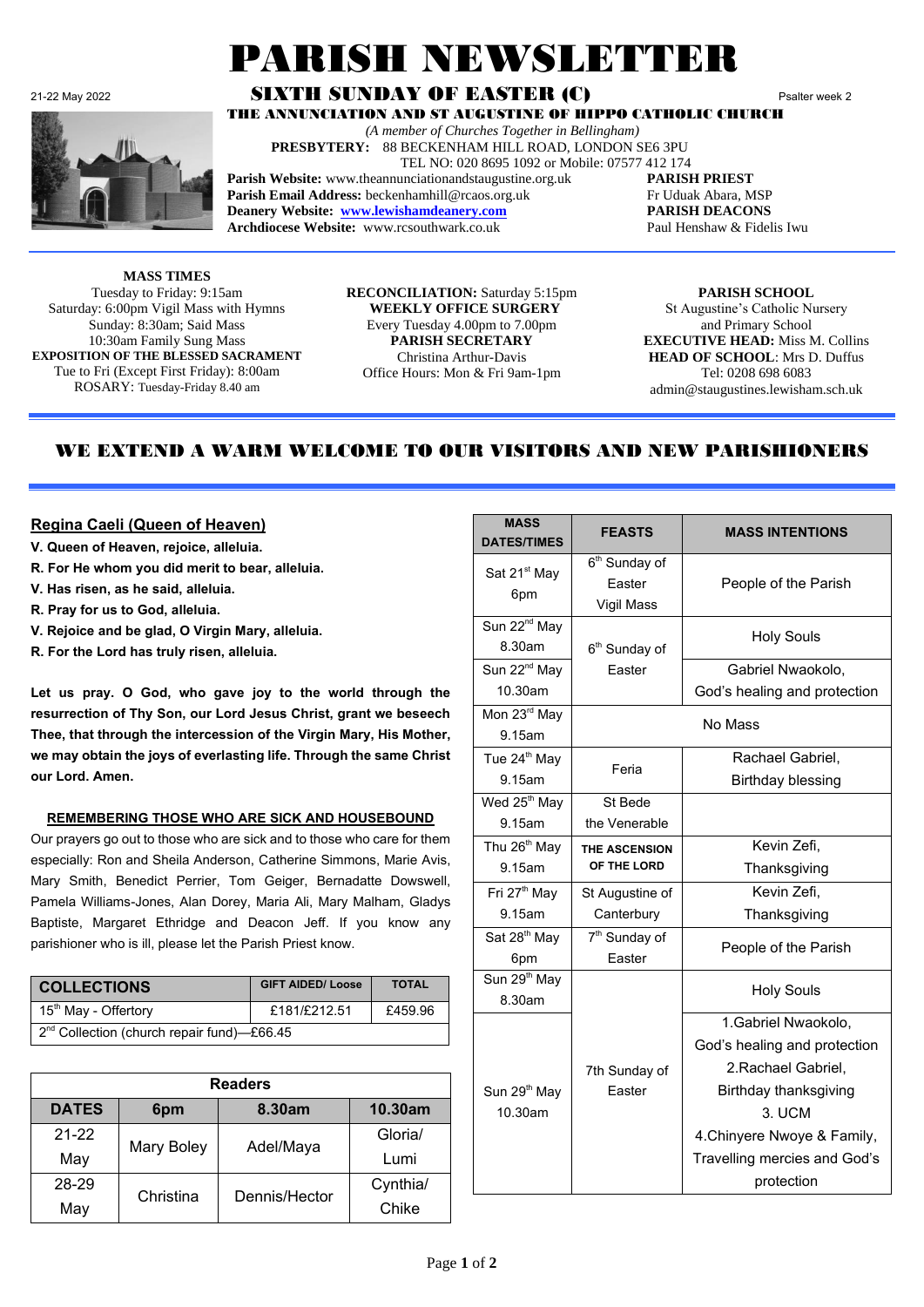

# PARISH NEWSLETTE

#### 21-22 May 2022 **SIXTH SUNDAY OF EASTER (C)** Psalter week 2 THE ANNUNCIATION AND ST AUGUSTINE OF HIPPO CATHOLIC CHURCH

 *(A member of Churches Together in Bellingham)* **PRESBYTERY:** 88 BECKENHAM HILL ROAD, LONDON SE6 3PU

TEL NO: 020 8695 1092 or Mobile: 07577 412 174

**Parish Website:** www.theannunciationandstaugustine.org.uk **PARISH PRIEST** Parish Email Address: beckenhamhill@rcaos.org.uk Fr Uduak Abara, MSP

**Deanery Website: [www.lewishamdeanery.com](http://www.lewishamdeanery.com/) PARISH DEACONS Archdiocese Website:** www.rcsouthwark.co.uk Paul Henshaw & Fidelis Iwu

**MASS TIMES** Tuesday to Friday: 9:15am Saturday: 6:00pm Vigil Mass with Hymns Sunday: 8:30am; Said Mass 10:30am Family Sung Mass **EXPOSITION OF THE BLESSED SACRAMENT** Tue to Fri (Except First Friday): 8:00am ROSARY: Tuesday-Friday 8.40 am

**RECONCILIATION:** Saturday 5:15pm **WEEKLY OFFICE SURGERY** Every Tuesday 4.00pm to 7.00pm **PARISH SECRETARY** Christina Arthur-Davis Office Hours: Mon & Fri 9am-1pm

**PARISH SCHOOL** St Augustine's Catholic Nursery and Primary School **EXECUTIVE HEAD:** Miss M. Collins **HEAD OF SCHOOL**: Mrs D. Duffus Tel: 0208 698 6083 admin@staugustines.lewisham.sch.uk

# WE EXTEND A WARM WELCOME TO OUR VISITORS AND NEW PARISHIONERS

### **Regina Caeli (Queen of Heaven)**

- **V. Queen of Heaven, rejoice, alleluia.**
- **R. For He whom you did merit to bear, alleluia.**
- **V. Has risen, as he said, alleluia.**
- **R. Pray for us to God, alleluia.**
- **V. Rejoice and be glad, O Virgin Mary, alleluia.**
- **R. For the Lord has truly risen, alleluia.**

**Let us pray. O God, who gave joy to the world through the resurrection of Thy Son, our Lord Jesus Christ, grant we beseech Thee, that through the intercession of the Virgin Mary, His Mother, we may obtain the joys of everlasting life. Through the same Christ our Lord. Amen.**

#### **REMEMBERING THOSE WHO ARE SICK AND HOUSEBOUND**

Our prayers go out to those who are sick and to those who care for them especially: Ron and Sheila Anderson, Catherine Simmons, Marie Avis, Mary Smith, Benedict Perrier, Tom Geiger, Bernadatte Dowswell, Pamela Williams-Jones, Alan Dorey, Maria Ali, Mary Malham, Gladys Baptiste, Margaret Ethridge and Deacon Jeff. If you know any parishioner who is ill, please let the Parish Priest know.

| <b>COLLECTIONS</b>                                     | <b>GIFT AIDED/ Loose</b> | <b>TOTAL</b> |
|--------------------------------------------------------|--------------------------|--------------|
| 15 <sup>th</sup> May - Offertory                       | £181/£212.51             | £459.96      |
| 2 <sup>nd</sup> Collection (church repair fund)-£66.45 |                          |              |

| <b>Readers</b>   |               |           |          |  |
|------------------|---------------|-----------|----------|--|
| <b>DATES</b>     | 6pm           | 8.30am    | 10.30am  |  |
| $21 - 22$        |               | Adel/Maya | Gloria/  |  |
| May              | Mary Boley    |           | Lumi     |  |
| 28-29            |               |           | Cynthia/ |  |
| Christina<br>May | Dennis/Hector | Chike     |          |  |

| <b>MASS</b><br><b>DATES/TIMES</b>   | <b>FEASTS</b>                                     | <b>MASS INTENTIONS</b>                                                                                                                                                                      |
|-------------------------------------|---------------------------------------------------|---------------------------------------------------------------------------------------------------------------------------------------------------------------------------------------------|
| Sat 21 <sup>st</sup> May<br>6pm     | 6 <sup>th</sup> Sunday of<br>Easter<br>Vigil Mass | People of the Parish                                                                                                                                                                        |
| Sun 22 <sup>nd</sup> May<br>8.30am  | 6 <sup>th</sup> Sunday of                         | <b>Holy Souls</b>                                                                                                                                                                           |
| Sun 22 <sup>nd</sup> May<br>10.30am | Easter                                            | Gabriel Nwaokolo,<br>God's healing and protection                                                                                                                                           |
| Mon 23rd May<br>9.15am              |                                                   | No Mass                                                                                                                                                                                     |
| Tue 24 <sup>th</sup> May<br>9.15am  | Feria                                             | Rachael Gabriel,<br><b>Birthday blessing</b>                                                                                                                                                |
| Wed 25 <sup>th</sup> May<br>9.15am  | St Bede<br>the Venerable                          |                                                                                                                                                                                             |
| Thu $26^{th}$ May<br>9.15am         | <b>THE ASCENSION</b><br>OF THE LORD               | Kevin Zefi,<br>Thanksgiving                                                                                                                                                                 |
| Fri 27 <sup>th</sup> May<br>9.15am  | St Augustine of<br>Canterbury                     | Kevin Zefi,<br>Thanksgiving                                                                                                                                                                 |
| Sat 28 <sup>th</sup> May<br>6pm     | 7 <sup>th</sup> Sunday of<br>Easter               | People of the Parish                                                                                                                                                                        |
| Sun 29 <sup>th</sup> May<br>8.30am  |                                                   | <b>Holy Souls</b>                                                                                                                                                                           |
| Sun 29 <sup>th</sup> May<br>10.30am | 7th Sunday of<br>Easter                           | 1. Gabriel Nwaokolo,<br>God's healing and protection<br>2. Rachael Gabriel,<br>Birthday thanksgiving<br>3. UCM<br>4. Chinyere Nwoye & Family,<br>Travelling mercies and God's<br>protection |